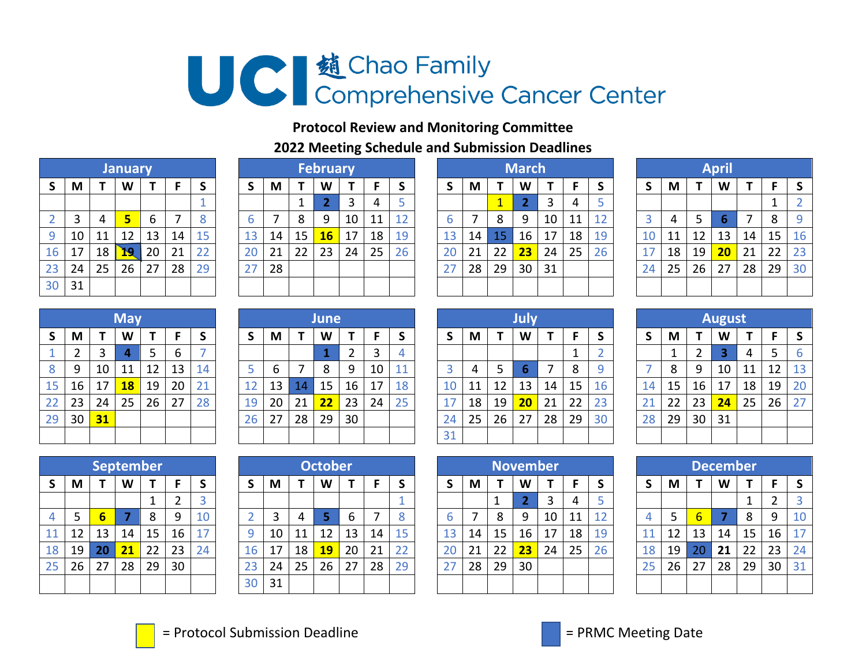## 

## **Protocol Review and Monitoring Committee Meeting Schedule and Submission Deadlines**

|                |    |    | <b>January</b> |    |    |              |
|----------------|----|----|----------------|----|----|--------------|
| S              | M  | Т  | W              | Τ  | F  | S            |
|                |    |    |                |    |    | $\mathbf{1}$ |
| $\overline{2}$ | 3  | 4  | 5              | 6  | 7  | 8            |
| 9              | 10 | 11 | 12             | 13 | 14 | 15           |
| 16             | 17 | 18 | 19             | 20 | 21 | 22           |
| 23             | 24 | 25 | 26             | 27 | 28 | 29           |
| 30             | 31 |    |                |    |    |              |

|    |        |    | <b>January</b> |    |    |    |    |    |    | <b>February</b> |    |    |    |    |    |    | <b>March</b> |    |    |    |    |    |    | <b>April</b>    |    |    |    |
|----|--------|----|----------------|----|----|----|----|----|----|-----------------|----|----|----|----|----|----|--------------|----|----|----|----|----|----|-----------------|----|----|----|
| S. | M      |    | W              |    |    |    |    | M  |    | W               |    | F  |    |    | M  |    | W            |    |    |    |    | M  |    | W               |    |    |    |
|    |        |    |                |    |    |    |    |    |    |                 | 3  | 4  |    |    |    |    |              |    | 4  |    |    |    |    |                 |    |    |    |
|    | 2<br>್ | 4  | 5.             | 6  |    | 8  |    |    | 8  | 9               | 10 | 11 | 12 |    |    | 8  | 9            | 10 | 11 |    |    | 4  |    |                 |    | 8  | -9 |
| 9  | 10     | 11 | 12             | 13 | 14 | 15 | 13 | 14 | 15 | <b>16</b>       | 17 | 18 | 19 | 13 | 14 | 15 | 16           | 17 | 18 | 19 | 10 |    | 12 | 13              | 14 | 15 | 16 |
| 16 | 17     | 18 | <u>ъя</u>      | 20 | 21 | 22 | 20 | 21 | 22 | 23              | 24 | 25 | 26 | 20 | 21 | 22 | 23           | 24 | 25 | 26 | 17 | 18 | 19 | 20 <sub>2</sub> | 21 | 22 | 23 |
| 23 | 24     | 25 | 26             | 27 | 28 | 29 | 27 | 28 |    |                 |    |    |    |    | 28 | 29 | 30           | 31 |    |    | 24 | 25 | 26 | 127             | 28 | 29 | 30 |
| 30 | 31     |    |                |    |    |    |    |    |    |                 |    |    |    |    |    |    |              |    |    |    |    |    |    |                 |    |    |    |
|    |        |    |                |    |    |    |    |    |    |                 |    |    |    |    |    |    |              |    |    |    |    |    |    |                 |    |    |    |

|              |    |                | <b>March</b> |    |    |    |
|--------------|----|----------------|--------------|----|----|----|
| $\mathsf{S}$ | M  | т              | W            | Τ  | F  | S  |
|              |    | $\overline{1}$ | 2            | 3  | 4  | 5  |
| 6            | 7  | 8              | 9            | 10 | 11 | 12 |
| 13           | 14 | 15             | 16           | 17 | 18 | 19 |
| 20           | 21 | 22             | 23           | 24 | 25 | 26 |
| 27           | 28 | 29             | 30           | 31 |    |    |
|              |    |                |              |    |    |    |

|             |    |    | <b>April</b> |    |    |                |
|-------------|----|----|--------------|----|----|----------------|
| $\mathsf S$ | M  | T  | W            | т  | F  | S              |
|             |    |    |              |    | 1  | $\overline{2}$ |
| 3           | 4  | 5  | 6            | 7  | 8  | 9              |
| 10          | 11 | 12 | 13           | 14 | 15 | 16             |
| 17          | 18 | 19 | 20           | 21 | 22 | 23             |
| 24          | 25 | 26 | 27           | 28 | 29 | 30             |
|             |    |    |              |    |    |                |

|             |                |    | <b>May</b> |    |    |    |
|-------------|----------------|----|------------|----|----|----|
| $\mathsf S$ | M              | т  | W          | т  | F  | S  |
| 1           | $\overline{2}$ | 3  | 4          | 5  | 6  | 7  |
| 8           | 9              | 10 | 11         | 12 | 13 | 14 |
| 15          | 16             | 17 | 18         | 19 | 20 | 21 |
| 22          | 23             | 24 | 25         | 26 | 27 | 28 |
| 29          | 30             | 31 |            |    |    |    |
|             |                |    |            |    |    |    |

|    |    |    | <b>June</b> |    |    |    |
|----|----|----|-------------|----|----|----|
| S  | M  | т  | W           | т  | F  | S  |
|    |    |    | 1           | 2  | 3  | 4  |
| 5  | 6  | 7  | 8           | 9  | 10 | 11 |
| 12 | 13 | 14 | 15          | 16 | 17 | 18 |
| 19 | 20 | 21 | 22          | 23 | 24 | 25 |
| 26 | 27 | 28 | 29          | 30 |    |    |
|    |    |    |             |    |    |    |

|        |            |    | <b>May</b> |    |    |    |    |    |    | <b>June</b> |    |    |    |    |    |    |    |    |    |           |    |    |    | <b>August</b> |    |                 |     |
|--------|------------|----|------------|----|----|----|----|----|----|-------------|----|----|----|----|----|----|----|----|----|-----------|----|----|----|---------------|----|-----------------|-----|
| S.     | M          |    | W          |    |    |    |    | M  |    | W           |    | F  | S  |    | M  |    | W  |    |    |           |    | M  |    | W             |    |                 |     |
|        | $\epsilon$ | 3  | 4          | -5 | 6  |    |    |    |    |             |    | 3  | 4  |    |    |    |    |    |    |           |    |    |    |               | 4  |                 | - 6 |
| 8      | 9          | 10 | 11         | 12 | 13 | 14 |    | 6  |    | 8           | 9  | 10 | 11 |    | 4  |    |    |    | 8  |           |    | 8  | 9  | 10            | 11 | $12 \mid$       | 13  |
| $15-1$ | 16         | 17 | 18         | 19 | 20 | 21 | 12 | 13 | 14 | 15          | 16 | 17 | 18 | 10 | 11 | 12 | 13 | 14 | 15 | <b>16</b> | 14 | 15 | 16 | 17            | 18 | 19 <sup>°</sup> | 20  |
| 22     | 23         | 24 | 25         | 26 | 27 | 28 | 19 | 20 | 21 | 22          | 23 | 24 | 25 | 17 | 18 | 19 | 20 | 21 | 22 | 23        | 21 | 22 | 23 | 24            | 25 | 26 <sup>1</sup> | 27  |
| 29     | 30         | 31 |            |    |    |    | 26 | 27 | 28 | 29          | 30 |    |    | 24 | 25 | 26 | 27 | 28 | 29 | 30        | 28 | 29 | 30 | 31            |    |                 |     |
|        |            |    |            |    |    |    |    |    |    |             |    |    |    | 31 |    |    |    |    |    |           |    |    |    |               |    |                 |     |

|             |    |                | <b>August</b> |    |    |    |
|-------------|----|----------------|---------------|----|----|----|
| $\mathsf S$ | M  | T              | W             | Τ  | F  | S  |
|             | 1  | $\overline{2}$ | 3             | 4  | 5  | 6  |
| 7           | 8  | 9              | 10            | 11 | 12 | 13 |
| 14          | 15 | 16             | 17            | 18 | 19 | 20 |
| 21          | 22 | 23             | 24            | 25 | 26 | 27 |
| 28          | 29 | 30             | 31            |    |    |    |
|             |    |                |               |    |    |    |

|    |    |    | <b>September</b> |    |                |    |
|----|----|----|------------------|----|----------------|----|
| S  | M  | т  | W                | т  | F              | S  |
|    |    |    |                  | 1  | $\overline{2}$ | 3  |
| 4  | 5  | 6  | 7                | 8  | 9              | 10 |
| 11 | 12 | 13 | 14               | 15 | 16             | 17 |
| 18 | 19 | 20 | 21               | 22 | 23             | 24 |
| 25 | 26 | 27 | 28               | 29 | 30             |    |
|    |    |    |                  |    |                |    |

|    |    |    |    | <b>September</b> |    |    |    |    |    | <b>October</b> |    |    |    |    |    |    | <b>November</b> |    |    |    |          |    |    | <b>December</b> |    |                 |    |
|----|----|----|----|------------------|----|----|----|----|----|----------------|----|----|----|----|----|----|-----------------|----|----|----|----------|----|----|-----------------|----|-----------------|----|
| S. | M  |    | W  |                  | E. |    |    | M  |    | W              |    | F  | S  |    | М  |    | W               |    |    |    |          | M  |    | W               |    |                 |    |
|    |    |    |    |                  |    | د  |    |    |    |                |    |    |    |    |    |    |                 |    | 4  |    |          |    |    |                 |    |                 | 3  |
| 4  | 5  | 6  |    | 8                | q  | 10 |    | 3  | 4  | 5              | 6  |    | 8  |    |    | 8  | 9               | 10 | 11 |    | $\Delta$ |    | 6  |                 | 8  | 9               | 10 |
| 11 | 12 | 13 | 14 | 15               | 16 | 17 |    | 10 | 11 | 12             | 13 | 14 | 15 | 13 | 14 | 15 | 16              | 17 | 18 | 19 | 11       | 12 | 13 | 14              | 15 | 16 <sup>1</sup> | 17 |
| 18 | 19 | 20 | 21 | 22               | 23 | 24 | 16 | 17 | 18 | <b>19</b>      | 20 | 21 | 22 | 20 | 21 | 22 | 23              | 24 | 25 | 26 | 18       | 19 | 20 | 21              | 22 | 23 <sup>1</sup> | 24 |
| 25 | 26 | 27 | 28 | 29               | 30 |    | 23 | 24 | 25 | 26             | 27 | 28 | 29 | 27 | 28 | 29 | 30              |    |    |    | 25       | 26 | 27 | 28              | 29 | 30              | 31 |
|    |    |    |    |                  |    |    | 30 | 31 |    |                |    |    |    |    |    |    |                 |    |    |    |          |    |    |                 |    |                 |    |
|    |    |    |    |                  |    |    |    |    |    |                |    |    |    |    |    |    |                 |    |    |    |          |    |    |                 |    |                 |    |

|    |    |    | November       |    |    |    |
|----|----|----|----------------|----|----|----|
| S  | M  | т  | W              | т  | F  | S  |
|    |    | 1  | $\overline{2}$ | 3  | 4  | 5  |
| 6  | 7  | 8  | 9              | 10 | 11 | 12 |
| 13 | 14 | 15 | 16             | 17 | 18 | 19 |
| 20 | 21 | 22 | 23             | 24 | 25 | 26 |
| 27 | 28 | 29 | 30             |    |    |    |
|    |    |    |                |    |    |    |

|              |    |    | <b>December</b> |    |                |    |
|--------------|----|----|-----------------|----|----------------|----|
| $\mathsf{S}$ | M  | T  | W               | T  | F              | S  |
|              |    |    |                 | 1  | $\overline{2}$ | 3  |
| 4            | 5  | 10 |                 |    |                |    |
| 11           | 12 | 13 | 14              | 15 | 16             | 17 |
| 18           | 19 | 20 | 21              | 22 | 23             | 24 |
| 25           | 26 | 27 | 28              | 29 | 30             | 31 |
|              |    |    |                 |    |                |    |